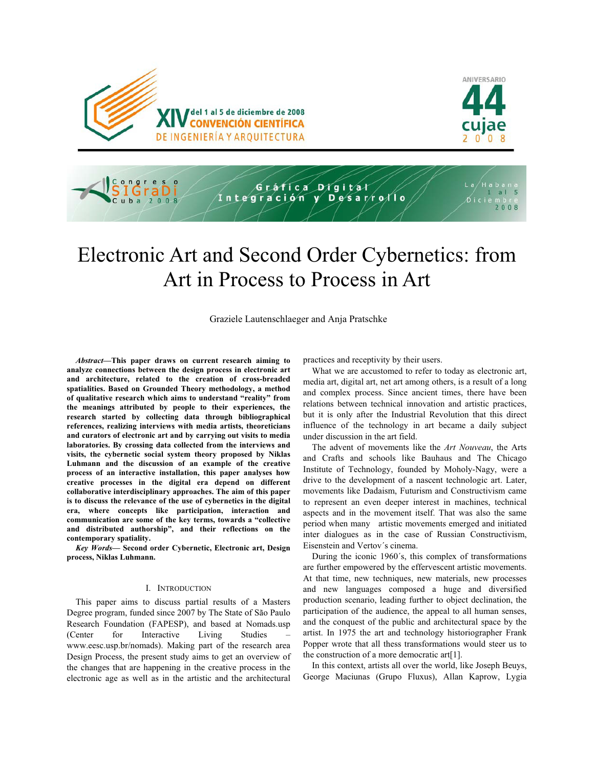





# Electronic Art and Second Order Cybernetics: from Art in Process to Process in Art

Graziele Lautenschlaeger and Anja Pratschke

*Abstract***—This paper draws on current research aiming to analyze connections between the design process in electronic art and architecture, related to the creation of cross-breaded spatialities. Based on Grounded Theory methodology, a method of qualitative research which aims to understand "reality" from the meanings attributed by people to their experiences, the research started by collecting data through bibliographical references, realizing interviews with media artists, theoreticians and curators of electronic art and by carrying out visits to media laboratories. By crossing data collected from the interviews and visits, the cybernetic social system theory proposed by Niklas Luhmann and the discussion of an example of the creative process of an interactive installation, this paper analyses how creative processes in the digital era depend on different collaborative interdisciplinary approaches. The aim of this paper is to discuss the relevance of the use of cybernetics in the digital era, where concepts like participation, interaction and communication are some of the key terms, towards a "collective and distributed authorship", and their reflections on the contemporary spatiality.** 

*Key Words***— Second order Cybernetic, Electronic art, Design process, Niklas Luhmann.** 

### I. INTRODUCTION

This paper aims to discuss partial results of a Masters Degree program, funded since 2007 by The State of São Paulo Research Foundation (FAPESP), and based at Nomads.usp (Center for Interactive Living Studies – www.eesc.usp.br/nomads). Making part of the research area Design Process, the present study aims to get an overview of the changes that are happening in the creative process in the electronic age as well as in the artistic and the architectural practices and receptivity by their users.

What we are accustomed to refer to today as electronic art, media art, digital art, net art among others, is a result of a long and complex process. Since ancient times, there have been relations between technical innovation and artistic practices, but it is only after the Industrial Revolution that this direct influence of the technology in art became a daily subject under discussion in the art field.

The advent of movements like the *Art Nouveau*, the Arts and Crafts and schools like Bauhaus and The Chicago Institute of Technology, founded by Moholy-Nagy, were a drive to the development of a nascent technologic art. Later, movements like Dadaism, Futurism and Constructivism came to represent an even deeper interest in machines, technical aspects and in the movement itself. That was also the same period when many artistic movements emerged and initiated inter dialogues as in the case of Russian Constructivism, Eisenstein and Vertov´s cinema.

During the iconic 1960´s, this complex of transformations are further empowered by the effervescent artistic movements. At that time, new techniques, new materials, new processes and new languages composed a huge and diversified production scenario, leading further to object declination, the participation of the audience, the appeal to all human senses, and the conquest of the public and architectural space by the artist. In 1975 the art and technology historiographer Frank Popper wrote that all thess transformations would steer us to the construction of a more democratic art[1].

In this context, artists all over the world, like Joseph Beuys, George Maciunas (Grupo Fluxus), Allan Kaprow, Lygia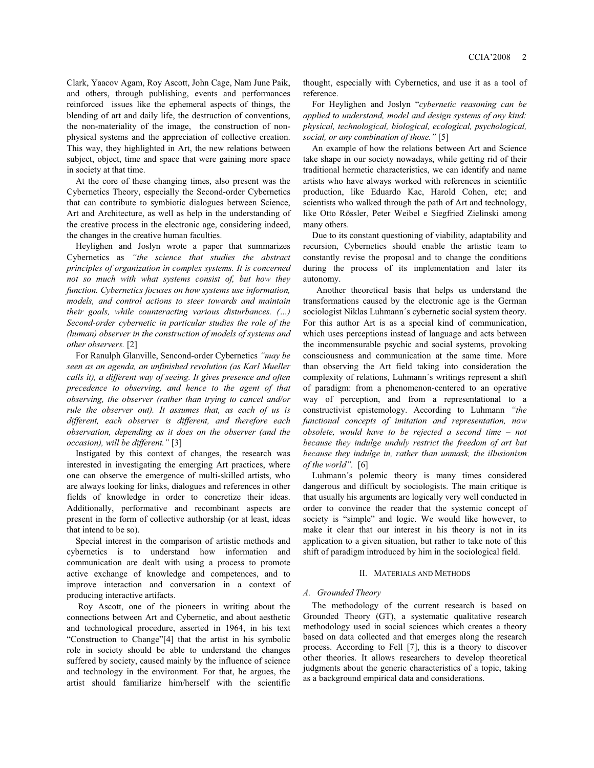Clark, Yaacov Agam, Roy Ascott, John Cage, Nam June Paik, and others, through publishing, events and performances reinforced issues like the ephemeral aspects of things, the blending of art and daily life, the destruction of conventions, the non-materiality of the image, the construction of nonphysical systems and the appreciation of collective creation. This way, they highlighted in Art, the new relations between subject, object, time and space that were gaining more space in society at that time.

At the core of these changing times, also present was the Cybernetics Theory, especially the Second-order Cybernetics that can contribute to symbiotic dialogues between Science, Art and Architecture, as well as help in the understanding of the creative process in the electronic age, considering indeed, the changes in the creative human faculties.

Heylighen and Joslyn wrote a paper that summarizes Cybernetics as *"the science that studies the abstract principles of organization in complex systems. It is concerned not so much with what systems consist of, but how they function. Cybernetics focuses on how systems use information, models, and control actions to steer towards and maintain their goals, while counteracting various disturbances. (…) Second-order cybernetic in particular studies the role of the (human) observer in the construction of models of systems and other observers.* [2]

For Ranulph Glanville, Sencond-order Cybernetics *"may be seen as an agenda, an unfinished revolution (as Karl Mueller calls it), a different way of seeing. It gives presence and often precedence to observing, and hence to the agent of that observing, the observer (rather than trying to cancel and/or rule the observer out). It assumes that, as each of us is different, each observer is different, and therefore each observation, depending as it does on the observer (and the occasion), will be different."* [3]

Instigated by this context of changes, the research was interested in investigating the emerging Art practices, where one can observe the emergence of multi-skilled artists, who are always looking for links, dialogues and references in other fields of knowledge in order to concretize their ideas. Additionally, performative and recombinant aspects are present in the form of collective authorship (or at least, ideas that intend to be so).

Special interest in the comparison of artistic methods and cybernetics is to understand how information and communication are dealt with using a process to promote active exchange of knowledge and competences, and to improve interaction and conversation in a context of producing interactive artifacts.

 Roy Ascott, one of the pioneers in writing about the connections between Art and Cybernetic, and about aesthetic and technological procedure, asserted in 1964, in his text "Construction to Change"[4] that the artist in his symbolic role in society should be able to understand the changes suffered by society, caused mainly by the influence of science and technology in the environment. For that, he argues, the artist should familiarize him/herself with the scientific thought, especially with Cybernetics, and use it as a tool of reference.

For Heylighen and Joslyn "*cybernetic reasoning can be applied to understand, model and design systems of any kind: physical, technological, biological, ecological, psychological, social, or any combination of those."* [5]

An example of how the relations between Art and Science take shape in our society nowadays, while getting rid of their traditional hermetic characteristics, we can identify and name artists who have always worked with references in scientific production, like Eduardo Kac, Harold Cohen, etc; and scientists who walked through the path of Art and technology, like Otto Rössler, Peter Weibel e Siegfried Zielinski among many others.

Due to its constant questioning of viability, adaptability and recursion, Cybernetics should enable the artistic team to constantly revise the proposal and to change the conditions during the process of its implementation and later its autonomy.

 Another theoretical basis that helps us understand the transformations caused by the electronic age is the German sociologist Niklas Luhmann´s cybernetic social system theory. For this author Art is as a special kind of communication, which uses perceptions instead of language and acts between the incommensurable psychic and social systems, provoking consciousness and communication at the same time. More than observing the Art field taking into consideration the complexity of relations, Luhmann´s writings represent a shift of paradigm: from a phenomenon-centered to an operative way of perception, and from a representational to a constructivist epistemology. According to Luhmann *"the functional concepts of imitation and representation, now obsolete, would have to be rejected a second time – not because they indulge unduly restrict the freedom of art but because they indulge in, rather than unmask, the illusionism of the world".* [6]

Luhmann´s polemic theory is many times considered dangerous and difficult by sociologists. The main critique is that usually his arguments are logically very well conducted in order to convince the reader that the systemic concept of society is "simple" and logic. We would like however, to make it clear that our interest in his theory is not in its application to a given situation, but rather to take note of this shift of paradigm introduced by him in the sociological field.

#### II. MATERIALS AND METHODS

### *A. Grounded Theory*

The methodology of the current research is based on Grounded Theory (GT), a systematic qualitative research methodology used in social sciences which creates a theory based on data collected and that emerges along the research process. According to Fell [7], this is a theory to discover other theories. It allows researchers to develop theoretical judgments about the generic characteristics of a topic, taking as a background empirical data and considerations.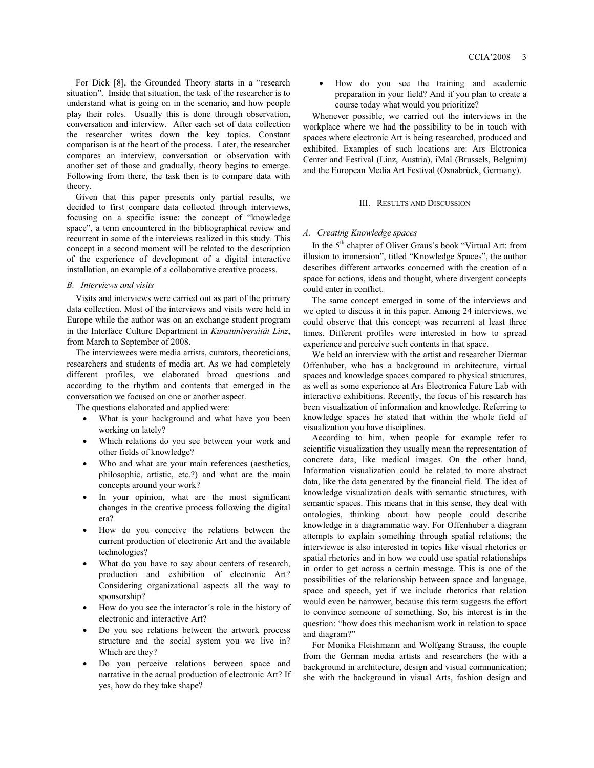For Dick [8], the Grounded Theory starts in a "research situation". Inside that situation, the task of the researcher is to understand what is going on in the scenario, and how people play their roles. Usually this is done through observation, conversation and interview. After each set of data collection the researcher writes down the key topics. Constant comparison is at the heart of the process. Later, the researcher compares an interview, conversation or observation with another set of those and gradually, theory begins to emerge. Following from there, the task then is to compare data with theory.

Given that this paper presents only partial results, we decided to first compare data collected through interviews, focusing on a specific issue: the concept of "knowledge space", a term encountered in the bibliographical review and recurrent in some of the interviews realized in this study. This concept in a second moment will be related to the description of the experience of development of a digital interactive installation, an example of a collaborative creative process.

### *B. Interviews and visits*

Visits and interviews were carried out as part of the primary data collection. Most of the interviews and visits were held in Europe while the author was on an exchange student program in the Interface Culture Department in *Kunstuniversität Linz*, from March to September of 2008.

The interviewees were media artists, curators, theoreticians, researchers and students of media art. As we had completely different profiles, we elaborated broad questions and according to the rhythm and contents that emerged in the conversation we focused on one or another aspect.

The questions elaborated and applied were:

- What is your background and what have you been working on lately?
- Which relations do you see between your work and other fields of knowledge?
- Who and what are your main references (aesthetics, philosophic, artistic, etc.?) and what are the main concepts around your work?
- In your opinion, what are the most significant changes in the creative process following the digital era?
- How do you conceive the relations between the current production of electronic Art and the available technologies?
- What do you have to say about centers of research, production and exhibition of electronic Art? Considering organizational aspects all the way to sponsorship?
- How do you see the interactor´s role in the history of electronic and interactive Art?
- Do you see relations between the artwork process structure and the social system you we live in? Which are they?
- Do you perceive relations between space and narrative in the actual production of electronic Art? If yes, how do they take shape?

 How do you see the training and academic preparation in your field? And if you plan to create a course today what would you prioritize?

Whenever possible, we carried out the interviews in the workplace where we had the possibility to be in touch with spaces where electronic Art is being researched, produced and exhibited. Examples of such locations are: Ars Elctronica Center and Festival (Linz, Austria), iMal (Brussels, Belguim) and the European Media Art Festival (Osnabrück, Germany).

# III. RESULTS AND DISCUSSION

### *A. Creating Knowledge spaces*

In the 5<sup>th</sup> chapter of Oliver Graus's book "Virtual Art: from illusion to immersion", titled "Knowledge Spaces", the author describes different artworks concerned with the creation of a space for actions, ideas and thought, where divergent concepts could enter in conflict.

The same concept emerged in some of the interviews and we opted to discuss it in this paper. Among 24 interviews, we could observe that this concept was recurrent at least three times. Different profiles were interested in how to spread experience and perceive such contents in that space.

We held an interview with the artist and researcher Dietmar Offenhuber, who has a background in architecture, virtual spaces and knowledge spaces compared to physical structures, as well as some experience at Ars Electronica Future Lab with interactive exhibitions. Recently, the focus of his research has been visualization of information and knowledge. Referring to knowledge spaces he stated that within the whole field of visualization you have disciplines.

According to him, when people for example refer to scientific visualization they usually mean the representation of concrete data, like medical images. On the other hand, Information visualization could be related to more abstract data, like the data generated by the financial field. The idea of knowledge visualization deals with semantic structures, with semantic spaces. This means that in this sense, they deal with ontologies, thinking about how people could describe knowledge in a diagrammatic way. For Offenhuber a diagram attempts to explain something through spatial relations; the interviewee is also interested in topics like visual rhetorics or spatial rhetorics and in how we could use spatial relationships in order to get across a certain message. This is one of the possibilities of the relationship between space and language, space and speech, yet if we include rhetorics that relation would even be narrower, because this term suggests the effort to convince someone of something. So, his interest is in the question: "how does this mechanism work in relation to space and diagram?"

For Monika Fleishmann and Wolfgang Strauss, the couple from the German media artists and researchers (he with a background in architecture, design and visual communication; she with the background in visual Arts, fashion design and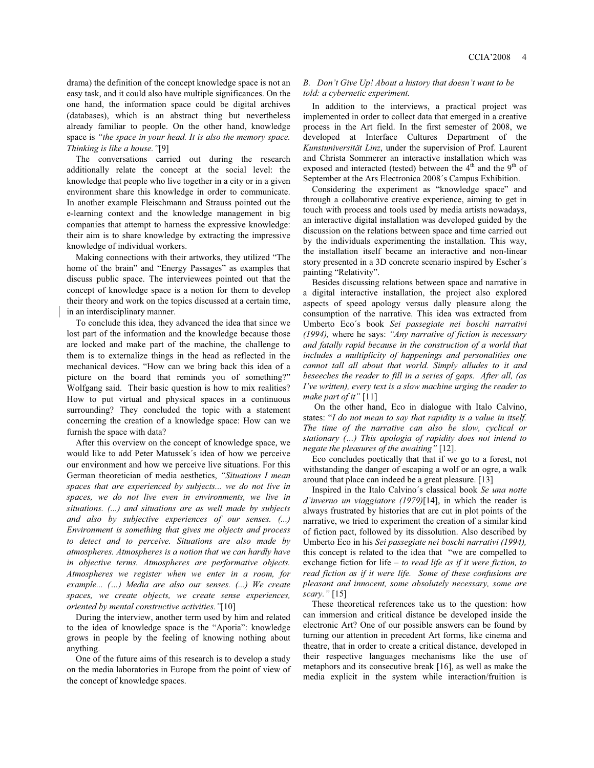drama) the definition of the concept knowledge space is not an easy task, and it could also have multiple significances. On the one hand, the information space could be digital archives (databases), which is an abstract thing but nevertheless already familiar to people. On the other hand, knowledge space is *"the space in your head. It is also the memory space. Thinking is like a house."*[9]

The conversations carried out during the research additionally relate the concept at the social level: the knowledge that people who live together in a city or in a given environment share this knowledge in order to communicate. In another example Fleischmann and Strauss pointed out the e-learning context and the knowledge management in big companies that attempt to harness the expressive knowledge: their aim is to share knowledge by extracting the impressive knowledge of individual workers.

Making connections with their artworks, they utilized "The home of the brain" and "Energy Passages" as examples that discuss public space. The interviewees pointed out that the concept of knowledge space is a notion for them to develop their theory and work on the topics discussed at a certain time, in an interdisciplinary manner.

To conclude this idea, they advanced the idea that since we lost part of the information and the knowledge because those are locked and make part of the machine, the challenge to them is to externalize things in the head as reflected in the mechanical devices. "How can we bring back this idea of a picture on the board that reminds you of something?" Wolfgang said. Their basic question is how to mix realities? How to put virtual and physical spaces in a continuous surrounding? They concluded the topic with a statement concerning the creation of a knowledge space: How can we furnish the space with data?

After this overview on the concept of knowledge space, we would like to add Peter Matussek´s idea of how we perceive our environment and how we perceive live situations. For this German theoretician of media aesthetics, *"Situations I mean spaces that are experienced by subjects... we do not live in spaces, we do not live even in environments, we live in situations. (...) and situations are as well made by subjects and also by subjective experiences of our senses. (...) Environment is something that gives me objects and process to detect and to perceive. Situations are also made by atmospheres. Atmospheres is a notion that we can hardly have in objective terms. Atmospheres are performative objects. Atmospheres we register when we enter in a room, for example... (…) Media are also our senses. (...) We create spaces, we create objects, we create sense experiences, oriented by mental constructive activities."*[10]

During the interview, another term used by him and related to the idea of knowledge space is the "Aporia": knowledge grows in people by the feeling of knowing nothing about anything.

One of the future aims of this research is to develop a study on the media laboratories in Europe from the point of view of the concept of knowledge spaces.

## *B. Don't Give Up! About a history that doesn't want to be told: a cybernetic experiment.*

In addition to the interviews, a practical project was implemented in order to collect data that emerged in a creative process in the Art field. In the first semester of 2008, we developed at Interface Cultures Department of the *Kunstuniversität Linz*, under the supervision of Prof. Laurent and Christa Sommerer an interactive installation which was exposed and interacted (tested) between the 4<sup>th</sup> and the 9<sup>th</sup> of September at the Ars Electronica 2008´s Campus Exhibition.

Considering the experiment as "knowledge space" and through a collaborative creative experience, aiming to get in touch with process and tools used by media artists nowadays, an interactive digital installation was developed guided by the discussion on the relations between space and time carried out by the individuals experimenting the installation. This way, the installation itself became an interactive and non-linear story presented in a 3D concrete scenario inspired by Escher´s painting "Relativity".

Besides discussing relations between space and narrative in a digital interactive installation, the project also explored aspects of speed apology versus dally pleasure along the consumption of the narrative. This idea was extracted from Umberto Eco´s book *Sei passegiate nei boschi narrativi (1994),* where he says: *"Any narrative of fiction is necessary and fatally rapid because in the construction of a world that includes a multiplicity of happenings and personalities one cannot tall all about that world. Simply alludes to it and beseeches the reader to fill in a series of gaps. After all, (as I've written), every text is a slow machine urging the reader to make part of it"* [11]

On the other hand, Eco in dialogue with Italo Calvino, states: "*I do not mean to say that rapidity is a value in itself. The time of the narrative can also be slow, cyclical or stationary (…) This apologia of rapidity does not intend to negate the pleasures of the awaiting"* [12].

Eco concludes poetically that that if we go to a forest, not withstanding the danger of escaping a wolf or an ogre, a walk around that place can indeed be a great pleasure. [13]

Inspired in the Italo Calvino´s classical book *Se una notte d'inverno un viaggiatore (1979)*[14], in which the reader is always frustrated by histories that are cut in plot points of the narrative, we tried to experiment the creation of a similar kind of fiction pact, followed by its dissolution. Also described by Umberto Eco in his *Sei passegiate nei boschi narrativi (1994),*  this concept is related to the idea that "we are compelled to exchange fiction for life *– to read life as if it were fiction, to read fiction as if it were life. Some of these confusions are pleasant and innocent, some absolutely necessary, some are scary."* [15]

These theoretical references take us to the question: how can immersion and critical distance be developed inside the electronic Art? One of our possible answers can be found by turning our attention in precedent Art forms, like cinema and theatre, that in order to create a critical distance, developed in their respective languages mechanisms like the use of metaphors and its consecutive break [16], as well as make the media explicit in the system while interaction/fruition is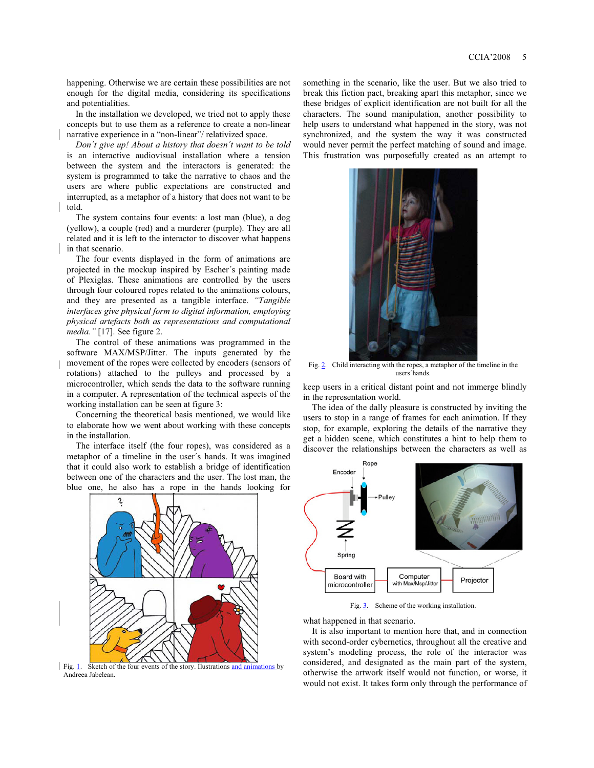happening. Otherwise we are certain these possibilities are not enough for the digital media, considering its specifications and potentialities.

In the installation we developed, we tried not to apply these concepts but to use them as a reference to create a non-linear narrative experience in a "non-linear"/ relativized space.

*Don´t give up! About a history that doesn´t want to be told* is an interactive audiovisual installation where a tension between the system and the interactors is generated: the system is programmed to take the narrative to chaos and the users are where public expectations are constructed and interrupted, as a metaphor of a history that does not want to be told.

The system contains four events: a lost man (blue), a dog (yellow), a couple (red) and a murderer (purple). They are all related and it is left to the interactor to discover what happens in that scenario.

The four events displayed in the form of animations are projected in the mockup inspired by Escher´s painting made of Plexiglas. These animations are controlled by the users through four coloured ropes related to the animations colours, and they are presented as a tangible interface. *"Tangible interfaces give physical form to digital information, employing physical artefacts both as representations and computational media."* [17]. See figure 2.

The control of these animations was programmed in the software MAX/MSP/Jitter. The inputs generated by the movement of the ropes were collected by encoders (sensors of rotations) attached to the pulleys and processed by a microcontroller, which sends the data to the software running in a computer. A representation of the technical aspects of the working installation can be seen at figure 3:

Concerning the theoretical basis mentioned, we would like to elaborate how we went about working with these concepts in the installation.

The interface itself (the four ropes), was considered as a metaphor of a timeline in the user´s hands. It was imagined that it could also work to establish a bridge of identification between one of the characters and the user. The lost man, the blue one, he also has a rope in the hands looking for



Fig. 1. Sketch of the four events of the story. Ilustrations and animations by Andreea Jabelean.

something in the scenario, like the user. But we also tried to break this fiction pact, breaking apart this metaphor, since we these bridges of explicit identification are not built for all the characters. The sound manipulation, another possibility to help users to understand what happened in the story, was not synchronized, and the system the way it was constructed would never permit the perfect matching of sound and image. This frustration was purposefully created as an attempt to



Fig. 2. Child interacting with the ropes, a metaphor of the timeline in the users´hands.

keep users in a critical distant point and not immerge blindly in the representation world.

The idea of the dally pleasure is constructed by inviting the users to stop in a range of frames for each animation. If they stop, for example, exploring the details of the narrative they get a hidden scene, which constitutes a hint to help them to discover the relationships between the characters as well as



Fig. 3. Scheme of the working installation.

what happened in that scenario.

It is also important to mention here that, and in connection with second-order cybernetics, throughout all the creative and system's modeling process, the role of the interactor was considered, and designated as the main part of the system, otherwise the artwork itself would not function, or worse, it would not exist. It takes form only through the performance of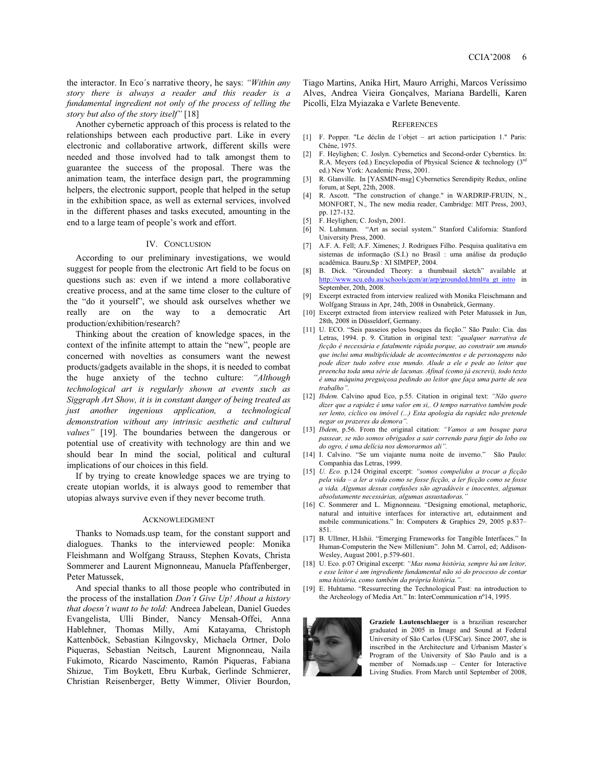the interactor. In Eco´s narrative theory, he says: *"Within any story there is always a reader and this reader is a fundamental ingredient not only of the process of telling the story but also of the story itself"* [18]

Another cybernetic approach of this process is related to the relationships between each productive part. Like in every electronic and collaborative artwork, different skills were needed and those involved had to talk amongst them to guarantee the success of the proposal. There was the animation team, the interface design part, the programming helpers, the electronic support, people that helped in the setup in the exhibition space, as well as external services, involved in the different phases and tasks executed, amounting in the end to a large team of people's work and effort.

#### IV. CONCLUSION

According to our preliminary investigations, we would suggest for people from the electronic Art field to be focus on questions such as: even if we intend a more collaborative creative process, and at the same time closer to the culture of the "do it yourself", we should ask ourselves whether we really are on the way to a democratic Art production/exhibition/research?

Thinking about the creation of knowledge spaces, in the context of the infinite attempt to attain the "new", people are concerned with novelties as consumers want the newest products/gadgets available in the shops, it is needed to combat the huge anxiety of the techno culture: *"Although technological art is regularly shown at events such as Siggraph Art Show, it is in constant danger of being treated as just another ingenious application, a technological demonstration without any intrinsic aesthetic and cultural values"* [19]. The boundaries between the dangerous or potential use of creativity with technology are thin and we should bear In mind the social, political and cultural implications of our choices in this field.

If by trying to create knowledge spaces we are trying to create utopian worlds, it is always good to remember that utopias always survive even if they never become truth.

### **ACKNOWLEDGMENT**

Thanks to Nomads.usp team, for the constant support and dialogues. Thanks to the interviewed people: Monika Fleishmann and Wolfgang Strauss, Stephen Kovats, Christa Sommerer and Laurent Mignonneau, Manuela Pfaffenberger, Peter Matussek,

 And special thanks to all those people who contributed in the process of the installation *Don´t Give Up! About a history that doesn´t want to be told:* Andreea Jabelean, Daniel Guedes Evangelista, Ulli Binder, Nancy Mensah-Offei, Anna Hablehner, Thomas Milly, Ami Katayama, Christoph Kattenböck, Sebastian Kilngovsky, Michaela Ortner, Dolo Piqueras, Sebastian Neitsch, Laurent Mignonneau, Naila Fukimoto, Ricardo Nascimento, Ramón Piqueras, Fabiana Shizue, Tim Boykett, Ebru Kurbak, Gerlinde Schmierer, Christian Reisenberger, Betty Wimmer, Olivier Bourdon,

Tiago Martins, Anika Hirt, Mauro Arrighi, Marcos Veríssimo Alves, Andrea Vieira Gonçalves, Mariana Bardelli, Karen Picolli, Elza Myiazaka e Varlete Benevente.

#### **REFERENCES**

- [1] F. Popper. "Le déclin de l´objet art action participation 1." Paris: Chêne, 1975.
- [2] F. Heylighen; C. Joslyn. Cybernetics and Second-order Cyberntics. In: R.A. Meyers (ed.) Encyclopedia of Physical Science & technology  $(3^{rd})$ ed.) New York: Academic Press, 2001.
- [3] R. Glanville. In [YASMIN-msg] Cybernetics Serendipity Redux, online forum, at Sept, 22th, 2008.
- [4] R. Ascott. "The construction of change." in WARDRIP-FRUIN. N., MONFORT, N., The new media reader, Cambridge: MIT Press, 2003, pp. 127-132.
- [5] F. Heylighen; C. Joslyn, 2001.
- [6] N. Luhmann. "Art as social system." Stanford California: Stanford University Press, 2000.
- [7] A.F. A. Fell; A.F. Ximenes; J. Rodrigues Filho. Pesquisa qualitativa em sistemas de informação (S.I.) no Brasil : uma análise da produção acadêmica. Bauru,Sp : XI SIMPEP, 2004.
- [8] B. Dick. "Grounded Theory: a thumbnail sketch" available at http://www.scu.edu.au/schools/gcm/ar/arp/grounded.html#a\_gt\_intro in September, 20th, 2008.
- [9] Excerpt extracted from interview realized with Monika Fleischmann and Wolfgang Strauss in Apr, 24th, 2008 in Osnabrück, Germany.
- [10] Excerpt extracted from interview realized with Peter Matussek in Jun, 28th, 2008 in Düsseldorf, Germany.
- [11] U. ECO. "Seis passeios pelos bosques da ficção." São Paulo: Cia. das Letras, 1994. p. 9. Citation in original text: *"qualquer narrativa de ficção é necessária e fatalmente rápida porque, ao construir um mundo que inclui uma multiplicidade de acontecimentos e de personagens não pode dizer tudo sobre esse mundo. Alude a ele e pede ao leitor que preencha toda uma série de lacunas. Afinal (como já escrevi), todo texto é uma máquina preguiçosa pedindo ao leitor que faça uma parte de seu trabalho".*
- [12] *Ibdem.* Calvino apud Eco, p.55. Citation in original text: *"Não quero dizer que a rapidez é uma valor em si,. O tempo narrativo também pode ser lento, cíclico ou imóvel (...) Esta apologia da rapidez não pretende negar os prazeres da demora".*
- [13] *Ibdem*, p.56*.* From the original citation: *"Vamos a um bosque para passear, se não somos obrigados a sair correndo para fugir do lobo ou do ogro, é uma delícia nos demorarmos ali".*
- [14] I. Calvino. "Se um viajante numa noite de inverno." São Paulo: Companhia das Letras, 1999.
- [15] *U. Eco.* p.124 Original excerpt: *"somos compelidos a trocar a ficção pela vida – a ler a vida como se fosse ficção, a ler ficção como se fosse a vida. Algumas dessas confusões são agradáveis e inocentes, algumas absolutamente necessárias, algumas assustadoras."*
- [16] C. Sommerer and L. Mignonneau. "Designing emotional, metaphoric, natural and intuitive interfaces for interactive art, edutainment and mobile communications." In: Computers & Graphics 29, 2005 p.837– 851.
- [17] B. Ullmer, H.Ishii. "Emerging Frameworks for Tangible Interfaces." In Human-Computerin the New Millenium". John M. Carrol, ed; Addison-Wesley, August 2001, p.579-601.
- [18] U. Eco. p.07 Original excerpt: *"Mas numa história, sempre há um leitor, e esse leitor é um ingrediente fundamental não só do processo de contar uma história, como também da própria história.".*
- [19] E. Huhtamo. "Ressurrecting the Technological Past: na introduction to the Archeology of Media Art." In: InterCommunication nº14, 1995.



**Graziele Lautenschlaeger** is a brazilian researcher graduated in 2005 in Image and Sound at Federal University of São Carlos (UFSCar). Since 2007, she is inscribed in the Architecture and Urbanism Master´s Program of the University of São Paulo and is a member of Nomads.usp – Center for Interactive Living Studies. From March until September of 2008,